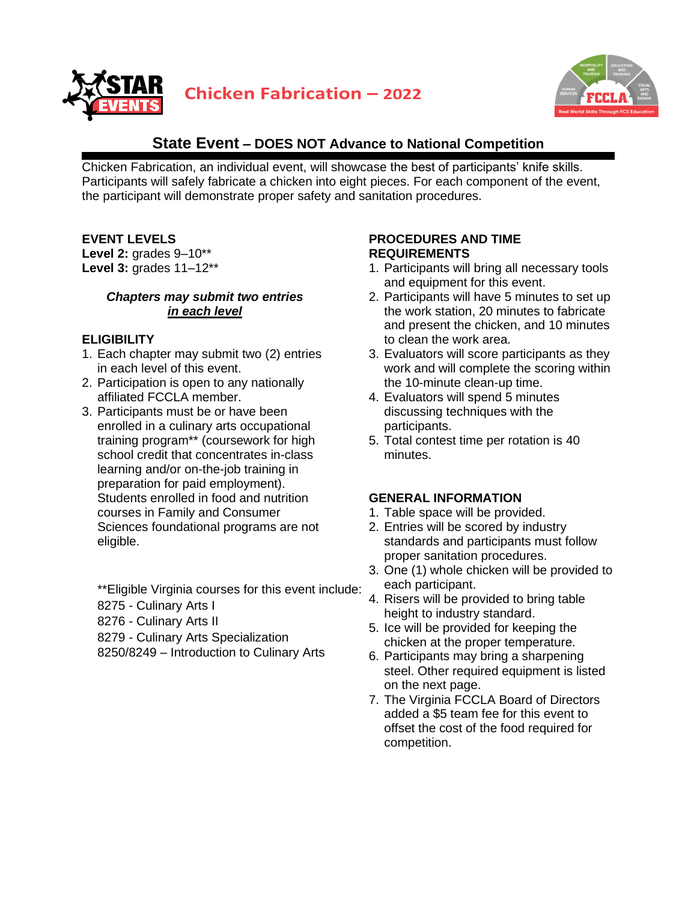



# **State Event – DOES NOT Advance to National Competition**

Chicken Fabrication, an individual event, will showcase the best of participants' knife skills. Participants will safely fabricate a chicken into eight pieces. For each component of the event, the participant will demonstrate proper safety and sanitation procedures.

### **EVENT LEVELS**

**Level 2:** grades 9–10\*\* **Level 3:** grades 11–12\*\*

#### *Chapters may submit two entries in each level*

#### **ELIGIBILITY**

- 1. Each chapter may submit two (2) entries in each level of this event.
- 2. Participation is open to any nationally affiliated FCCLA member.
- 3. Participants must be or have been enrolled in a culinary arts occupational training program\*\* (coursework for high school credit that concentrates in-class learning and/or on-the-job training in preparation for paid employment). Students enrolled in food and nutrition courses in Family and Consumer Sciences foundational programs are not eligible.

\*\*Eligible Virginia courses for this event include:

- 8275 Culinary Arts I
- 8276 Culinary Arts II
- 8279 Culinary Arts Specialization
- 8250/8249 Introduction to Culinary Arts

### **PROCEDURES AND TIME REQUIREMENTS**

- 1. Participants will bring all necessary tools and equipment for this event.
- 2. Participants will have 5 minutes to set up the work station, 20 minutes to fabricate and present the chicken, and 10 minutes to clean the work area.
- 3. Evaluators will score participants as they work and will complete the scoring within the 10-minute clean-up time.
- 4. Evaluators will spend 5 minutes discussing techniques with the participants.
- 5. Total contest time per rotation is 40 minutes.

# **GENERAL INFORMATION**

- 1. Table space will be provided.
- 2. Entries will be scored by industry standards and participants must follow proper sanitation procedures.
- 3. One (1) whole chicken will be provided to each participant.
- 4. Risers will be provided to bring table height to industry standard.
- 5. Ice will be provided for keeping the chicken at the proper temperature.
- 6. Participants may bring a sharpening steel. Other required equipment is listed on the next page.
- 7. The Virginia FCCLA Board of Directors added a \$5 team fee for this event to offset the cost of the food required for competition.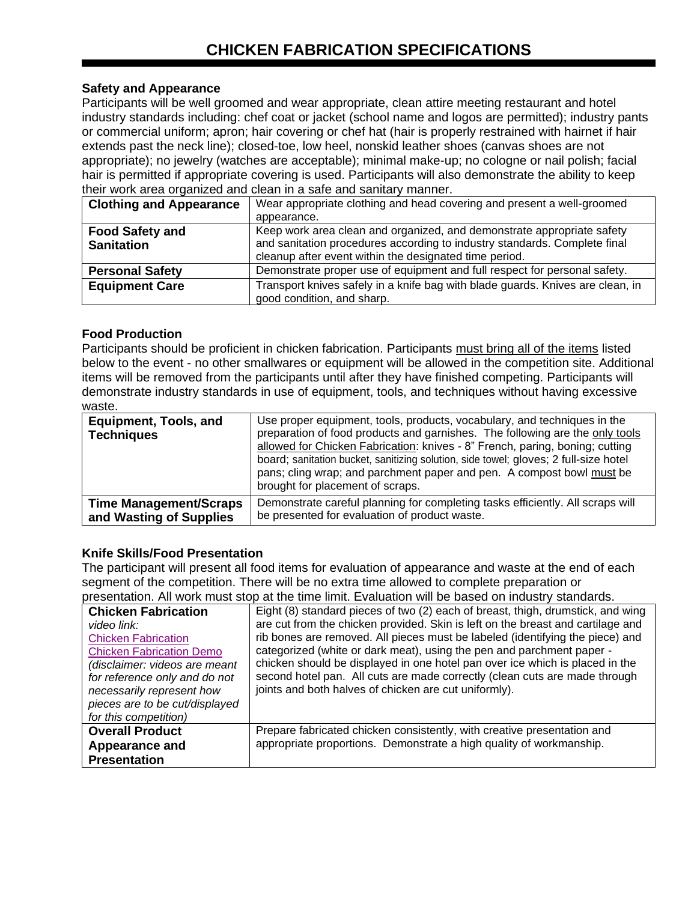### **Safety and Appearance**

Participants will be well groomed and wear appropriate, clean attire meeting restaurant and hotel industry standards including: chef coat or jacket (school name and logos are permitted); industry pants or commercial uniform; apron; hair covering or chef hat (hair is properly restrained with hairnet if hair extends past the neck line); closed-toe, low heel, nonskid leather shoes (canvas shoes are not appropriate); no jewelry (watches are acceptable); minimal make-up; no cologne or nail polish; facial hair is permitted if appropriate covering is used. Participants will also demonstrate the ability to keep their work area organized and clean in a safe and sanitary manner.

| <b>Clothing and Appearance</b>              | Wear appropriate clothing and head covering and present a well-groomed<br>appearance.                                                                                                                         |
|---------------------------------------------|---------------------------------------------------------------------------------------------------------------------------------------------------------------------------------------------------------------|
| <b>Food Safety and</b><br><b>Sanitation</b> | Keep work area clean and organized, and demonstrate appropriate safety<br>and sanitation procedures according to industry standards. Complete final<br>cleanup after event within the designated time period. |
| <b>Personal Safety</b>                      | Demonstrate proper use of equipment and full respect for personal safety.                                                                                                                                     |
| <b>Equipment Care</b>                       | Transport knives safely in a knife bag with blade guards. Knives are clean, in<br>good condition, and sharp.                                                                                                  |

#### **Food Production**

Participants should be proficient in chicken fabrication. Participants must bring all of the items listed below to the event - no other smallwares or equipment will be allowed in the competition site. Additional items will be removed from the participants until after they have finished competing. Participants will demonstrate industry standards in use of equipment, tools, and techniques without having excessive waste.

| <b>Equipment, Tools, and</b><br><b>Techniques</b> | Use proper equipment, tools, products, vocabulary, and techniques in the<br>preparation of food products and garnishes. The following are the only tools<br>allowed for Chicken Fabrication: knives - 8" French, paring, boning; cutting<br>board; sanitation bucket, sanitizing solution, side towel; gloves; 2 full-size hotel<br>pans; cling wrap; and parchment paper and pen. A compost bowl must be<br>brought for placement of scraps. |
|---------------------------------------------------|-----------------------------------------------------------------------------------------------------------------------------------------------------------------------------------------------------------------------------------------------------------------------------------------------------------------------------------------------------------------------------------------------------------------------------------------------|
| <b>Time Management/Scraps</b>                     | Demonstrate careful planning for completing tasks efficiently. All scraps will                                                                                                                                                                                                                                                                                                                                                                |
| and Wasting of Supplies                           | be presented for evaluation of product waste.                                                                                                                                                                                                                                                                                                                                                                                                 |

# **Knife Skills/Food Presentation**

The participant will present all food items for evaluation of appearance and waste at the end of each segment of the competition. There will be no extra time allowed to complete preparation or presentation. All work must stop at the time limit. Evaluation will be based on industry standards.

| Eight (8) standard pieces of two (2) each of breast, thigh, drumstick, and wing<br><b>Chicken Fabrication</b><br>are cut from the chicken provided. Skin is left on the breast and cartilage and<br>video link:<br>rib bones are removed. All pieces must be labeled (identifying the piece) and<br><b>Chicken Fabrication</b><br>categorized (white or dark meat), using the pen and parchment paper -<br><b>Chicken Fabrication Demo</b><br>chicken should be displayed in one hotel pan over ice which is placed in the<br>(disclaimer: videos are meant<br>second hotel pan. All cuts are made correctly (clean cuts are made through<br>for reference only and do not<br>joints and both halves of chicken are cut uniformly).<br>necessarily represent how<br>pieces are to be cut/displayed<br>for this competition)<br><b>Overall Product</b><br>Prepare fabricated chicken consistently, with creative presentation and<br>appropriate proportions. Demonstrate a high quality of workmanship.<br><b>Appearance and</b><br><b>Presentation</b> |  |
|---------------------------------------------------------------------------------------------------------------------------------------------------------------------------------------------------------------------------------------------------------------------------------------------------------------------------------------------------------------------------------------------------------------------------------------------------------------------------------------------------------------------------------------------------------------------------------------------------------------------------------------------------------------------------------------------------------------------------------------------------------------------------------------------------------------------------------------------------------------------------------------------------------------------------------------------------------------------------------------------------------------------------------------------------------|--|
|                                                                                                                                                                                                                                                                                                                                                                                                                                                                                                                                                                                                                                                                                                                                                                                                                                                                                                                                                                                                                                                         |  |
|                                                                                                                                                                                                                                                                                                                                                                                                                                                                                                                                                                                                                                                                                                                                                                                                                                                                                                                                                                                                                                                         |  |
|                                                                                                                                                                                                                                                                                                                                                                                                                                                                                                                                                                                                                                                                                                                                                                                                                                                                                                                                                                                                                                                         |  |
|                                                                                                                                                                                                                                                                                                                                                                                                                                                                                                                                                                                                                                                                                                                                                                                                                                                                                                                                                                                                                                                         |  |
|                                                                                                                                                                                                                                                                                                                                                                                                                                                                                                                                                                                                                                                                                                                                                                                                                                                                                                                                                                                                                                                         |  |
|                                                                                                                                                                                                                                                                                                                                                                                                                                                                                                                                                                                                                                                                                                                                                                                                                                                                                                                                                                                                                                                         |  |
|                                                                                                                                                                                                                                                                                                                                                                                                                                                                                                                                                                                                                                                                                                                                                                                                                                                                                                                                                                                                                                                         |  |
|                                                                                                                                                                                                                                                                                                                                                                                                                                                                                                                                                                                                                                                                                                                                                                                                                                                                                                                                                                                                                                                         |  |
|                                                                                                                                                                                                                                                                                                                                                                                                                                                                                                                                                                                                                                                                                                                                                                                                                                                                                                                                                                                                                                                         |  |
|                                                                                                                                                                                                                                                                                                                                                                                                                                                                                                                                                                                                                                                                                                                                                                                                                                                                                                                                                                                                                                                         |  |
|                                                                                                                                                                                                                                                                                                                                                                                                                                                                                                                                                                                                                                                                                                                                                                                                                                                                                                                                                                                                                                                         |  |
|                                                                                                                                                                                                                                                                                                                                                                                                                                                                                                                                                                                                                                                                                                                                                                                                                                                                                                                                                                                                                                                         |  |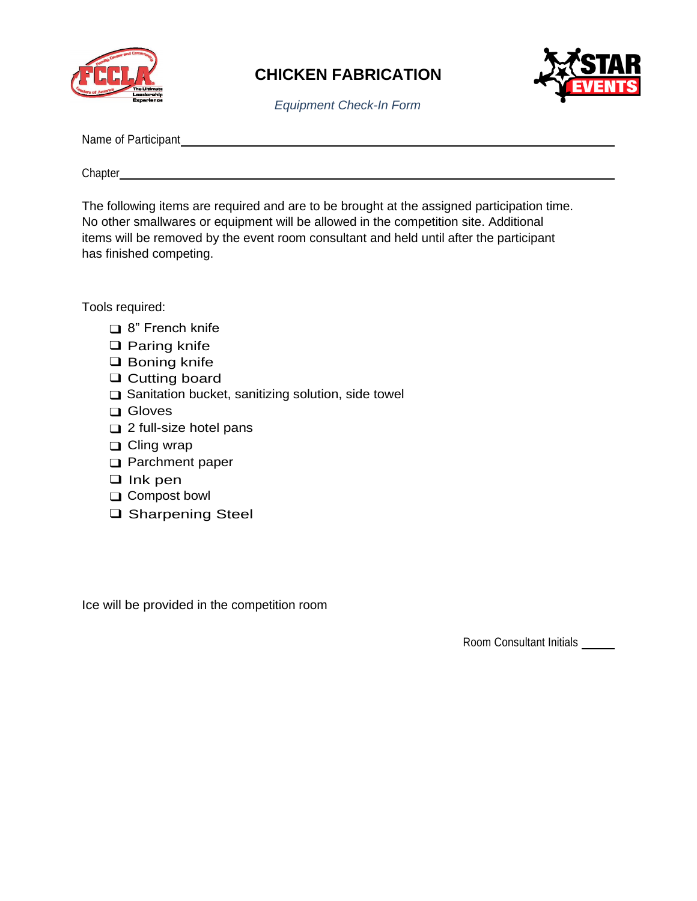



*Equipment Check-In Form*

| Name of Participant |  |
|---------------------|--|
|                     |  |

Chapter

The following items are required and are to be brought at the assigned participation time. No other smallwares or equipment will be allowed in the competition site. Additional items will be removed by the event room consultant and held until after the participant has finished competing.

Tools required:

- ❑ 8" French knife
- ❑ Paring knife
- ❑ Boning knife
- ❑ Cutting board
- ❑ Sanitation bucket, sanitizing solution, side towel
- ❑ Gloves
- ❑ 2 full-size hotel pans
- ❑ Cling wrap
- ❑ Parchment paper
- ❑ Ink pen
- ❑ Compost bowl
- ❑ Sharpening Steel

Ice will be provided in the competition room

Room Consultant Initials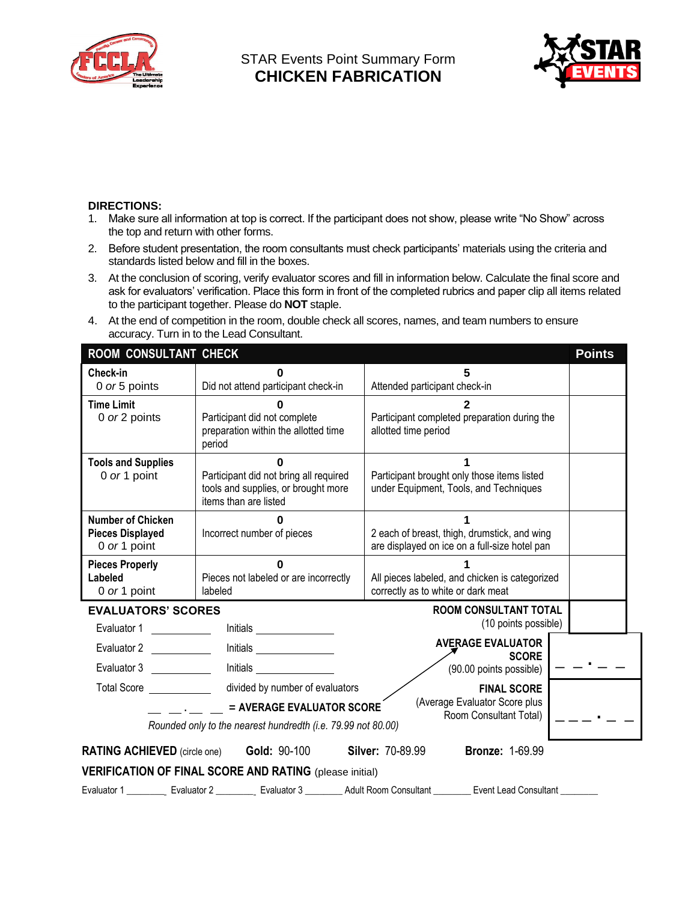



#### **DIRECTIONS:**

- 1. Make sure all information at top is correct. If the participant does not show, please write "No Show" across the top and return with other forms.
- 2. Before student presentation, the room consultants must check participants' materials using the criteria and standards listed below and fill in the boxes.
- 3. At the conclusion of scoring, verify evaluator scores and fill in information below. Calculate the final score and ask for evaluators' verification. Place this form in front of the completed rubrics and paper clip all items related to the participant together. Please do **NOT** staple.
- 4. At the end of competition in the room, double check all scores, names, and team numbers to ensure accuracy. Turn in to the Lead Consultant.

| <b>ROOM CONSULTANT CHECK</b>                                                                                                                                                                                                                                                                 |                                                                                                        |                                                                                                                           |  |  |  |
|----------------------------------------------------------------------------------------------------------------------------------------------------------------------------------------------------------------------------------------------------------------------------------------------|--------------------------------------------------------------------------------------------------------|---------------------------------------------------------------------------------------------------------------------------|--|--|--|
| Check-in<br>0 or 5 points                                                                                                                                                                                                                                                                    | Did not attend participant check-in                                                                    | 5<br>Attended participant check-in                                                                                        |  |  |  |
| <b>Time Limit</b><br>0 or 2 points                                                                                                                                                                                                                                                           | Participant did not complete<br>preparation within the allotted time<br>period                         | Participant completed preparation during the<br>allotted time period                                                      |  |  |  |
| <b>Tools and Supplies</b><br>0 or 1 point                                                                                                                                                                                                                                                    | Participant did not bring all required<br>tools and supplies, or brought more<br>items than are listed | Participant brought only those items listed<br>under Equipment, Tools, and Techniques                                     |  |  |  |
| <b>Number of Chicken</b><br><b>Pieces Displayed</b><br>0 or 1 point                                                                                                                                                                                                                          | 0<br>Incorrect number of pieces                                                                        | 2 each of breast, thigh, drumstick, and wing<br>are displayed on ice on a full-size hotel pan                             |  |  |  |
| <b>Pieces Properly</b><br>Labeled<br>0 or 1 point                                                                                                                                                                                                                                            | Pieces not labeled or are incorrectly<br>labeled                                                       | All pieces labeled, and chicken is categorized<br>correctly as to white or dark meat                                      |  |  |  |
| <b>EVALUATORS' SCORES</b>                                                                                                                                                                                                                                                                    |                                                                                                        | <b>ROOM CONSULTANT TOTAL</b>                                                                                              |  |  |  |
| Evaluator 1                                                                                                                                                                                                                                                                                  | Initials                                                                                               | (10 points possible)                                                                                                      |  |  |  |
| Evaluator 2<br>Evaluator 3                                                                                                                                                                                                                                                                   | <b>Initials</b>                                                                                        | <b>AVERAGE EVALUATOR</b><br><b>SCORE</b><br>(90.00 points possible)                                                       |  |  |  |
| divided by number of evaluators<br>Total Score <b>Example 20</b><br><b>FINAL SCORE</b><br>(Average Evaluator Score plus<br>= AVERAGE EVALUATOR SCORE<br>Room Consultant Total)<br><b>Contract Contract Contract Contract</b><br>Rounded only to the nearest hundredth (i.e. 79.99 not 80.00) |                                                                                                        |                                                                                                                           |  |  |  |
|                                                                                                                                                                                                                                                                                              | <b>RATING ACHIEVED</b> (circle one) <b>Gold: 90-100</b>                                                | <b>Silver: 70-89.99</b><br><b>Bronze: 1-69.99</b>                                                                         |  |  |  |
| <b>VERIFICATION OF FINAL SCORE AND RATING (please initial)</b>                                                                                                                                                                                                                               |                                                                                                        |                                                                                                                           |  |  |  |
|                                                                                                                                                                                                                                                                                              |                                                                                                        | Evaluator 1 __________ Evaluator 2 __________ Evaluator 3 ________ Adult Room Consultant ________ Event Lead Consultant _ |  |  |  |